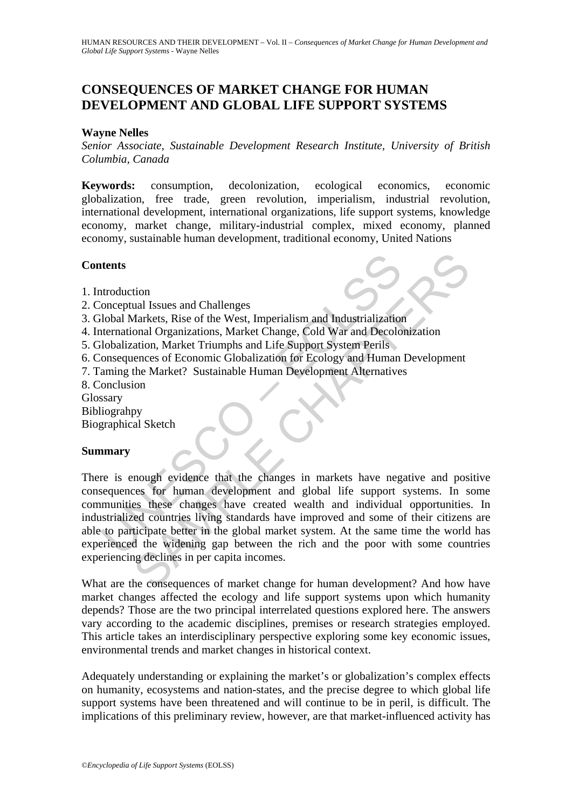# **CONSEQUENCES OF MARKET CHANGE FOR HUMAN DEVELOPMENT AND GLOBAL LIFE SUPPORT SYSTEMS**

### **Wayne Nelles**

*Senior Associate, Sustainable Development Research Institute, University of British Columbia, Canada* 

**Keywords:** consumption, decolonization, ecological economics, economic globalization, free trade, green revolution, imperialism, industrial revolution, international development, international organizations, life support systems, knowledge economy, market change, military-industrial complex, mixed economy, planned economy, sustainable human development, traditional economy, United Nations

## **Contents**

- 1. Introduction
- 2. Conceptual Issues and Challenges
- 3. Global Markets, Rise of the West, Imperialism and Industrialization
- 4. International Organizations, Market Change, Cold War and Decolonization
- 5. Globalization, Market Triumphs and Life Support System Perils
- 6. Consequences of Economic Globalization for Ecology and Human Development
- 7. Taming the Market? Sustainable Human Development Alternatives
- 8. Conclusion
- Glossary
- Bibliograhpy
- Biographical Sketch

### **Summary**

The state of the Magnitrical Issues and Challenges<br>
Understand Organizations, Market Change, Cold War and Industrialization<br>
Idobalization, Market Triumphs and Life Support System Perils<br>
Idobalization, Market Triumphs and The Manuary and Challenges<br>
Markets, Rise of the West, Imperialism and Industrialization<br>
Markets, Rise of the West, Imperialism and Industrialization<br>
Condic Organizations, Market Change, Cold War and Decolonization<br>
atio There is enough evidence that the changes in markets have negative and positive consequences for human development and global life support systems. In some communities these changes have created wealth and individual opportunities. In industrialized countries living standards have improved and some of their citizens are able to participate better in the global market system. At the same time the world has experienced the widening gap between the rich and the poor with some countries experiencing declines in per capita incomes.

What are the consequences of market change for human development? And how have market changes affected the ecology and life support systems upon which humanity depends? Those are the two principal interrelated questions explored here. The answers vary according to the academic disciplines, premises or research strategies employed. This article takes an interdisciplinary perspective exploring some key economic issues, environmental trends and market changes in historical context.

Adequately understanding or explaining the market's or globalization's complex effects on humanity, ecosystems and nation-states, and the precise degree to which global life support systems have been threatened and will continue to be in peril, is difficult. The implications of this preliminary review, however, are that market-influenced activity has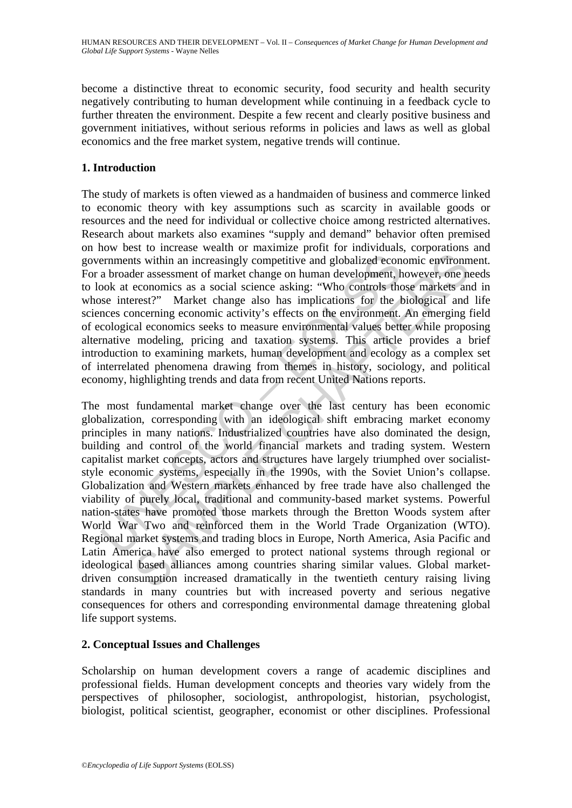become a distinctive threat to economic security, food security and health security negatively contributing to human development while continuing in a feedback cycle to further threaten the environment. Despite a few recent and clearly positive business and government initiatives, without serious reforms in policies and laws as well as global economics and the free market system, negative trends will continue.

## **1. Introduction**

The study of markets is often viewed as a handmaiden of business and commerce linked to economic theory with key assumptions such as scarcity in available goods or resources and the need for individual or collective choice among restricted alternatives. Research about markets also examines "supply and demand" behavior often premised on how best to increase wealth or maximize profit for individuals, corporations and governments within an increasingly competitive and globalized economic environment. For a broader assessment of market change on human development, however, one needs to look at economics as a social science asking: "Who controls those markets and in whose interest?" Market change also has implications for the biological and life sciences concerning economic activity's effects on the environment. An emerging field of ecological economics seeks to measure environmental values better while proposing alternative modeling, pricing and taxation systems. This article provides a brief introduction to examining markets, human development and ecology as a complex set of interrelated phenomena drawing from themes in history, sociology, and political economy, highlighting trends and data from recent United Nations reports.

ernments within an increasingly competitive and globalized econ<br>a broader assessment of market change on human development, hook at economics as a social science asking: "Who controls those interest?" Market change also ha Its within an increasingly competitive and globalized economic environm<br>ler assessment of market change on human development, however, one no<br>economics as a social science asking: "Who controls those markets an<br>erest?" Mar The most fundamental market change over the last century has been economic globalization, corresponding with an ideological shift embracing market economy principles in many nations. Industrialized countries have also dominated the design, building and control of the world financial markets and trading system. Western capitalist market concepts, actors and structures have largely triumphed over socialiststyle economic systems, especially in the 1990s, with the Soviet Union's collapse. Globalization and Western markets enhanced by free trade have also challenged the viability of purely local, traditional and community-based market systems. Powerful nation-states have promoted those markets through the Bretton Woods system after World War Two and reinforced them in the World Trade Organization (WTO). Regional market systems and trading blocs in Europe, North America, Asia Pacific and Latin America have also emerged to protect national systems through regional or ideological based alliances among countries sharing similar values. Global marketdriven consumption increased dramatically in the twentieth century raising living standards in many countries but with increased poverty and serious negative consequences for others and corresponding environmental damage threatening global life support systems.

## **2. Conceptual Issues and Challenges**

Scholarship on human development covers a range of academic disciplines and professional fields. Human development concepts and theories vary widely from the perspectives of philosopher, sociologist, anthropologist, historian, psychologist, biologist, political scientist, geographer, economist or other disciplines. Professional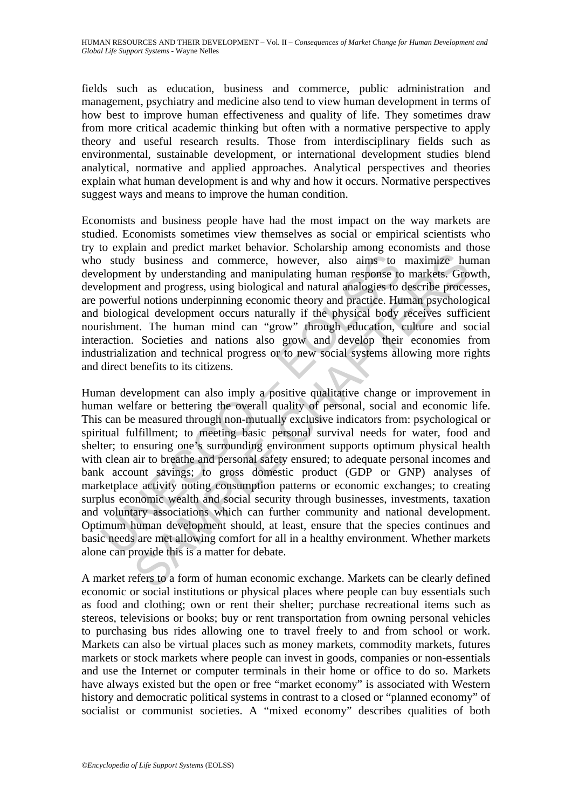HUMAN RESOURCES AND THEIR DEVELOPMENT – Vol. II – *Consequences of Market Change for Human Development and Global Life Support Systems* - Wayne Nelles

fields such as education, business and commerce, public administration and management, psychiatry and medicine also tend to view human development in terms of how best to improve human effectiveness and quality of life. They sometimes draw from more critical academic thinking but often with a normative perspective to apply theory and useful research results. Those from interdisciplinary fields such as environmental, sustainable development, or international development studies blend analytical, normative and applied approaches. Analytical perspectives and theories explain what human development is and why and how it occurs. Normative perspectives suggest ways and means to improve the human condition.

Economists and business people have had the most impact on the way markets are studied. Economists sometimes view themselves as social or empirical scientists who try to explain and predict market behavior. Scholarship among economists and those who study business and commerce, however, also aims to maximize human development by understanding and manipulating human response to markets. Growth, development and progress, using biological and natural analogies to describe processes, are powerful notions underpinning economic theory and practice. Human psychological and biological development occurs naturally if the physical body receives sufficient nourishment. The human mind can "grow" through education, culture and social interaction. Societies and nations also grow and develop their economies from industrialization and technical progress or to new social systems allowing more rights and direct benefits to its citizens.

I study business and commerce, however, also aims to<br>elopment by understanding and manipulating human response to<br>elopment and progress, using biological and natural analogies to do<br>boilogical development cocurs naturally w business and commerce, however, also aims to maximize hund by understanding and manipulating human response to markets. Gro and progress, using biological and natural analogies to describe process and in the along that a Human development can also imply a positive qualitative change or improvement in human welfare or bettering the overall quality of personal, social and economic life. This can be measured through non-mutually exclusive indicators from: psychological or spiritual fulfillment; to meeting basic personal survival needs for water, food and shelter; to ensuring one's surrounding environment supports optimum physical health with clean air to breathe and personal safety ensured; to adequate personal incomes and bank account savings; to gross domestic product (GDP or GNP) analyses of marketplace activity noting consumption patterns or economic exchanges; to creating surplus economic wealth and social security through businesses, investments, taxation and voluntary associations which can further community and national development. Optimum human development should, at least, ensure that the species continues and basic needs are met allowing comfort for all in a healthy environment. Whether markets alone can provide this is a matter for debate.

A market refers to a form of human economic exchange. Markets can be clearly defined economic or social institutions or physical places where people can buy essentials such as food and clothing; own or rent their shelter; purchase recreational items such as stereos, televisions or books; buy or rent transportation from owning personal vehicles to purchasing bus rides allowing one to travel freely to and from school or work. Markets can also be virtual places such as money markets, commodity markets, futures markets or stock markets where people can invest in goods, companies or non-essentials and use the Internet or computer terminals in their home or office to do so. Markets have always existed but the open or free "market economy" is associated with Western history and democratic political systems in contrast to a closed or "planned economy" of socialist or communist societies. A "mixed economy" describes qualities of both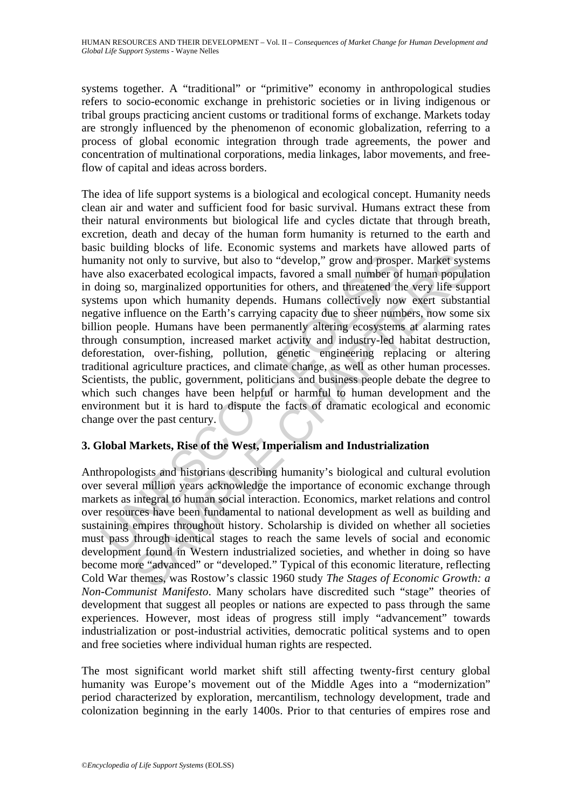systems together. A "traditional" or "primitive" economy in anthropological studies refers to socio-economic exchange in prehistoric societies or in living indigenous or tribal groups practicing ancient customs or traditional forms of exchange. Markets today are strongly influenced by the phenomenon of economic globalization, referring to a process of global economic integration through trade agreements, the power and concentration of multinational corporations, media linkages, labor movements, and freeflow of capital and ideas across borders.

nanity not only to survive, but also to "develop," grow and prosponder also exacerbated ecological impacts, favored a small number of oing so, marginalized opportunities for others, and threatened thems upon which humanity not only to survive, but also to "develop," grow and prosper. Market syst<br>xxacerbated ecological impacts, favored a small number of human population<br>x, marginalized opportunities for others, and threatened the very life su The idea of life support systems is a biological and ecological concept. Humanity needs clean air and water and sufficient food for basic survival. Humans extract these from their natural environments but biological life and cycles dictate that through breath, excretion, death and decay of the human form humanity is returned to the earth and basic building blocks of life. Economic systems and markets have allowed parts of humanity not only to survive, but also to "develop," grow and prosper. Market systems have also exacerbated ecological impacts, favored a small number of human population in doing so, marginalized opportunities for others, and threatened the very life support systems upon which humanity depends. Humans collectively now exert substantial negative influence on the Earth's carrying capacity due to sheer numbers, now some six billion people. Humans have been permanently altering ecosystems at alarming rates through consumption, increased market activity and industry-led habitat destruction, deforestation, over-fishing, pollution, genetic engineering replacing or altering traditional agriculture practices, and climate change, as well as other human processes. Scientists, the public, government, politicians and business people debate the degree to which such changes have been helpful or harmful to human development and the environment but it is hard to dispute the facts of dramatic ecological and economic change over the past century.

## **3. Global Markets, Rise of the West, Imperialism and Industrialization**

Anthropologists and historians describing humanity's biological and cultural evolution over several million years acknowledge the importance of economic exchange through markets as integral to human social interaction. Economics, market relations and control over resources have been fundamental to national development as well as building and sustaining empires throughout history. Scholarship is divided on whether all societies must pass through identical stages to reach the same levels of social and economic development found in Western industrialized societies, and whether in doing so have become more "advanced" or "developed." Typical of this economic literature, reflecting Cold War themes, was Rostow's classic 1960 study *The Stages of Economic Growth: a Non-Communist Manifesto*. Many scholars have discredited such "stage" theories of development that suggest all peoples or nations are expected to pass through the same experiences. However, most ideas of progress still imply "advancement" towards industrialization or post-industrial activities, democratic political systems and to open and free societies where individual human rights are respected.

The most significant world market shift still affecting twenty-first century global humanity was Europe's movement out of the Middle Ages into a "modernization" period characterized by exploration, mercantilism, technology development, trade and colonization beginning in the early 1400s. Prior to that centuries of empires rose and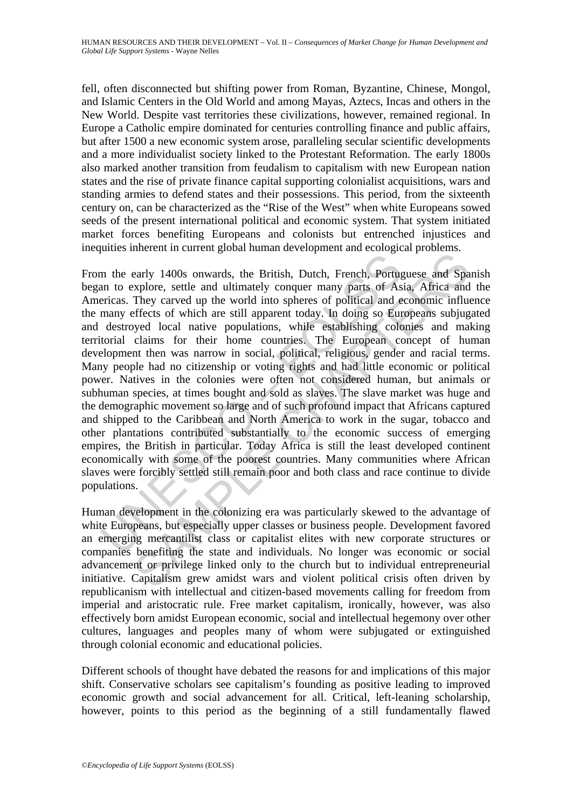fell, often disconnected but shifting power from Roman, Byzantine, Chinese, Mongol, and Islamic Centers in the Old World and among Mayas, Aztecs, Incas and others in the New World. Despite vast territories these civilizations, however, remained regional. In Europe a Catholic empire dominated for centuries controlling finance and public affairs, but after 1500 a new economic system arose, paralleling secular scientific developments and a more individualist society linked to the Protestant Reformation. The early 1800s also marked another transition from feudalism to capitalism with new European nation states and the rise of private finance capital supporting colonialist acquisitions, wars and standing armies to defend states and their possessions. This period, from the sixteenth century on, can be characterized as the "Rise of the West" when white Europeans sowed seeds of the present international political and economic system. That system initiated market forces benefiting Europeans and colonists but entrenched injustices and inequities inherent in current global human development and ecological problems.

The early 1400s onwards, the British, Dutch, French, Portugn<br>an to explore, settle and ultimately conquer many parts of As<br>ericas. They caved up the world into spheres of political and e<br>many effects of which are still app metric and ultrimal extra plane and Fortephran and Entropyrine and Space and Space and Ultrimal Terms parts of Asia, Africa and They carved up the world into spheres of political and economic influenties They carved up the From the early 1400s onwards, the British, Dutch, French, Portuguese and Spanish began to explore, settle and ultimately conquer many parts of Asia, Africa and the Americas. They carved up the world into spheres of political and economic influence the many effects of which are still apparent today. In doing so Europeans subjugated and destroyed local native populations, while establishing colonies and making territorial claims for their home countries. The European concept of human development then was narrow in social, political, religious, gender and racial terms. Many people had no citizenship or voting rights and had little economic or political power. Natives in the colonies were often not considered human, but animals or subhuman species, at times bought and sold as slaves. The slave market was huge and the demographic movement so large and of such profound impact that Africans captured and shipped to the Caribbean and North America to work in the sugar, tobacco and other plantations contributed substantially to the economic success of emerging empires, the British in particular. Today Africa is still the least developed continent economically with some of the poorest countries. Many communities where African slaves were forcibly settled still remain poor and both class and race continue to divide populations.

Human development in the colonizing era was particularly skewed to the advantage of white Europeans, but especially upper classes or business people. Development favored an emerging mercantilist class or capitalist elites with new corporate structures or companies benefiting the state and individuals. No longer was economic or social advancement or privilege linked only to the church but to individual entrepreneurial initiative. Capitalism grew amidst wars and violent political crisis often driven by republicanism with intellectual and citizen-based movements calling for freedom from imperial and aristocratic rule. Free market capitalism, ironically, however, was also effectively born amidst European economic, social and intellectual hegemony over other cultures, languages and peoples many of whom were subjugated or extinguished through colonial economic and educational policies.

Different schools of thought have debated the reasons for and implications of this major shift. Conservative scholars see capitalism's founding as positive leading to improved economic growth and social advancement for all. Critical, left-leaning scholarship, however, points to this period as the beginning of a still fundamentally flawed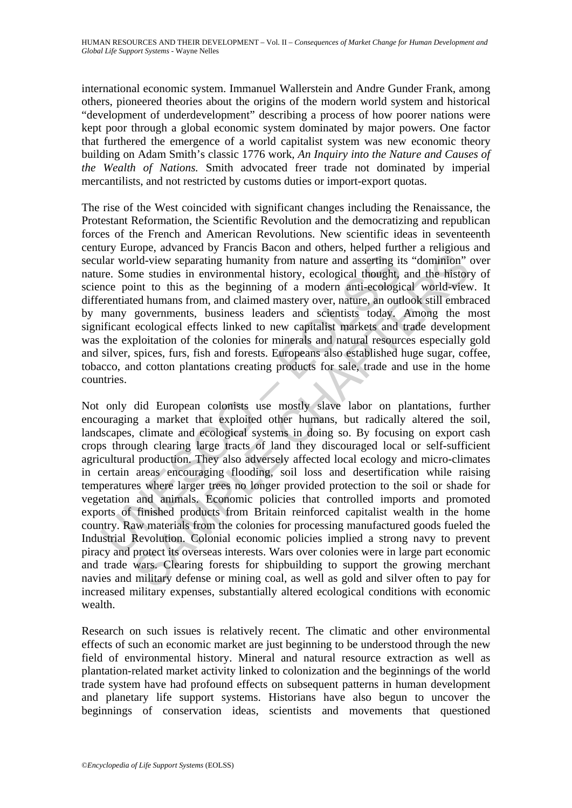international economic system. Immanuel Wallerstein and Andre Gunder Frank, among others, pioneered theories about the origins of the modern world system and historical "development of underdevelopment" describing a process of how poorer nations were kept poor through a global economic system dominated by major powers. One factor that furthered the emergence of a world capitalist system was new economic theory building on Adam Smith's classic 1776 work*, An Inquiry into the Nature and Causes of the Wealth of Nations.* Smith advocated freer trade not dominated by imperial mercantilists, and not restricted by customs duties or import-export quotas.

The rise of the West coincided with significant changes including the Renaissance, the Protestant Reformation, the Scientific Revolution and the democratizing and republican forces of the French and American Revolutions. New scientific ideas in seventeenth century Europe, advanced by Francis Bacon and others, helped further a religious and secular world-view separating humanity from nature and asserting its "dominion" over nature. Some studies in environmental history, ecological thought, and the history of science point to this as the beginning of a modern anti-ecological world-view. It differentiated humans from, and claimed mastery over, nature, an outlook still embraced by many governments, business leaders and scientists today. Among the most significant ecological effects linked to new capitalist markets and trade development was the exploitation of the colonies for minerals and natural resources especially gold and silver, spices, furs, fish and forests. Europeans also established huge sugar, coffee, tobacco, and cotton plantations creating products for sale, trade and use in the home countries.

relation and moreover the colonies for the colonies weren and asserting that world-view separating humanity from nature and asserting it encomposition and claimed matery over, nature, an out many governments, business lead Fid-view separating humanity from nature and asserting its "dominion"<br>rid-view separating humanity from nature and asserting its "dominion"<br>one studies in environmental history, ecological thought, and the histor<br>ord human Not only did European colonists use mostly slave labor on plantations, further encouraging a market that exploited other humans, but radically altered the soil, landscapes, climate and ecological systems in doing so. By focusing on export cash crops through clearing large tracts of land they discouraged local or self-sufficient agricultural production. They also adversely affected local ecology and micro-climates in certain areas encouraging flooding, soil loss and desertification while raising temperatures where larger trees no longer provided protection to the soil or shade for vegetation and animals. Economic policies that controlled imports and promoted exports of finished products from Britain reinforced capitalist wealth in the home country. Raw materials from the colonies for processing manufactured goods fueled the Industrial Revolution. Colonial economic policies implied a strong navy to prevent piracy and protect its overseas interests. Wars over colonies were in large part economic and trade wars. Clearing forests for shipbuilding to support the growing merchant navies and military defense or mining coal, as well as gold and silver often to pay for increased military expenses, substantially altered ecological conditions with economic wealth.

Research on such issues is relatively recent. The climatic and other environmental effects of such an economic market are just beginning to be understood through the new field of environmental history. Mineral and natural resource extraction as well as plantation-related market activity linked to colonization and the beginnings of the world trade system have had profound effects on subsequent patterns in human development and planetary life support systems. Historians have also begun to uncover the beginnings of conservation ideas, scientists and movements that questioned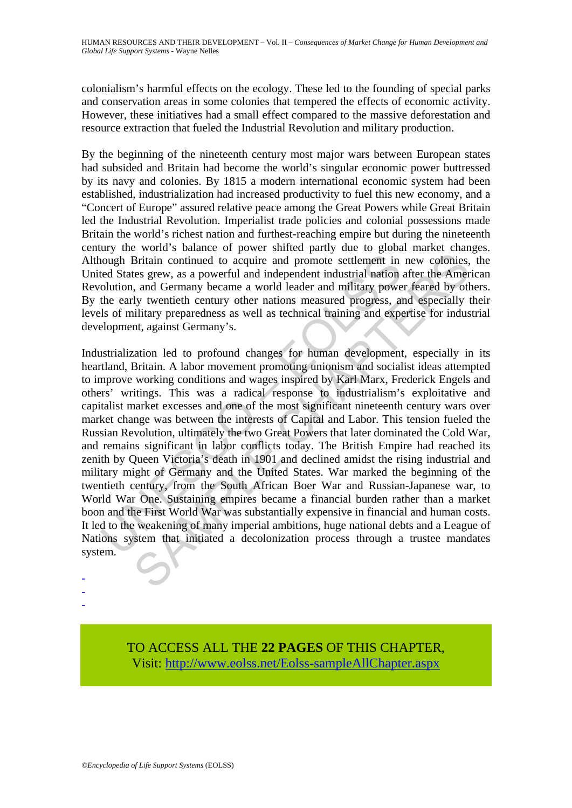colonialism's harmful effects on the ecology. These led to the founding of special parks and conservation areas in some colonies that tempered the effects of economic activity. However, these initiatives had a small effect compared to the massive deforestation and resource extraction that fueled the Industrial Revolution and military production.

By the beginning of the nineteenth century most major wars between European states had subsided and Britain had become the world's singular economic power buttressed by its navy and colonies. By 1815 a modern international economic system had been established, industrialization had increased productivity to fuel this new economy, and a "Concert of Europe" assured relative peace among the Great Powers while Great Britain led the Industrial Revolution. Imperialist trade policies and colonial possessions made Britain the world's richest nation and furthest-reaching empire but during the nineteenth century the world's balance of power shifted partly due to global market changes. Although Britain continued to acquire and promote settlement in new colonies, the United States grew, as a powerful and independent industrial nation after the American Revolution, and Germany became a world leader and military power feared by others. By the early twentieth century other nations measured progress, and especially their levels of military preparedness as well as technical training and expertise for industrial development, against Germany's.

hough Britain continued to acquire and promote settlement in<br>ted States grew, as a powerful and independent industrial nation<br>olution, and Germany became a world leader and military powe<br>the early twentieth century other n Britain continued to acquire and promote settlement in new colonies,<br>Britain continued to acquire and promote settlement in new colonies,<br>tes grew, as a powerful and independent industrial ration after the Amer<br>a, and Germ Industrialization led to profound changes for human development, especially in its heartland, Britain. A labor movement promoting unionism and socialist ideas attempted to improve working conditions and wages inspired by Karl Marx, Frederick Engels and others' writings. This was a radical response to industrialism's exploitative and capitalist market excesses and one of the most significant nineteenth century wars over market change was between the interests of Capital and Labor. This tension fueled the Russian Revolution, ultimately the two Great Powers that later dominated the Cold War, and remains significant in labor conflicts today. The British Empire had reached its zenith by Queen Victoria's death in 1901 and declined amidst the rising industrial and military might of Germany and the United States. War marked the beginning of the twentieth century, from the South African Boer War and Russian-Japanese war, to World War One. Sustaining empires became a financial burden rather than a market boon and the First World War was substantially expensive in financial and human costs. It led to the weakening of many imperial ambitions, huge national debts and a League of Nations system that initiated a decolonization process through a trustee mandates system.

> TO ACCESS ALL THE **22 PAGES** OF THIS CHAPTER, Visit: [http://www.eolss.net/Eolss-sampleAllChapter.aspx](https://www.eolss.net/ebooklib/sc_cart.aspx?File=E1-10-05-01)

- - -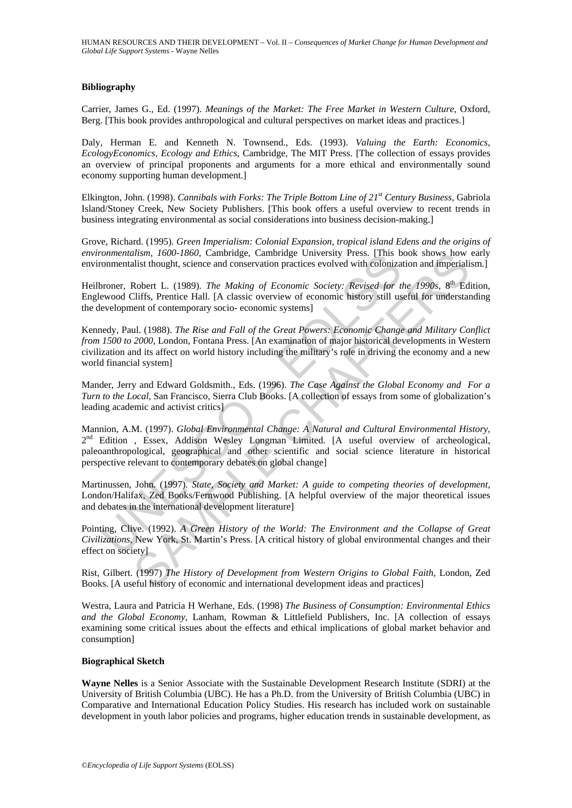#### **Bibliography**

Carrier, James G., Ed. (1997). *Meanings of the Market: The Free Market in Western Culture*, Oxford, Berg. [This book provides anthropological and cultural perspectives on market ideas and practices.]

Daly, Herman E. and Kenneth N. Townsend., Eds. (1993). *Valuing the Earth: Economics, EcologyEconomics, Ecology and Ethics*, Cambridge, The MIT Press. [The collection of essays provides an overview of principal proponents and arguments for a more ethical and environmentally sound economy supporting human development.]

Elkington, John. (1998). *Cannibals with Forks: The Triple Bottom Line of 21st Century Business*, Gabriola Island/Stoney Creek, New Society Publishers. [This book offers a useful overview to recent trends in business integrating environmental as social considerations into business decision-making.]

Grove, Richard. (1995). *Green Imperialism: Colonial Expansion, tropical island Edens and the origins of environmentalism, 1600-1860*, Cambridge, Cambridge University Press. [This book shows how early environmentalist thought, science and conservation practices evolved with colonization and imperialism.]

Heilbroner, Robert L. (1989). *The Making of Economic Society: Revised for the 1990s*, 8<sup>th</sup> Edition, Englewood Cliffs, Prentice Hall. [A classic overview of economic history still useful for understanding the development of contemporary socio- economic systems]

Kennedy, Paul. (1988). *The Rise and Fall of the Great Powers: Economic Change and Military Conflict from 1500 to 2000*, London, Fontana Press. [An examination of major historical developments in Western civilization and its affect on world history including the military's role in driving the economy and a new world financial system]

Mander, Jerry and Edward Goldsmith., Eds. (1996). *The Case Against the Global Economy and For a Turn to the Local,* San Francisco, Sierra Club Books. [A collection of essays from some of globalization's leading academic and activist critics]

*Connentalism, 1000-1600,* Cambridge, Cambridge University Press. [118 b<br>
oromentalism, 1000-1600, Cambridge, Cambridge University Press. [11816]<br>
oroment Robert L. (1989). The Making of Economic Society: Revised for the<br> them, 1600-1600, Cambridge, Cambridge University Press. [This book shows how<br>list thought, science and conservation practices evolved with colonization and imperiali<br>Robert L. (1989). The Making of Economic Society: Revise Mannion, A.M. (1997). *Global Environmental Change: A Natural and Cultural Environmental History*, 2<sup>nd</sup> Edition , Essex, Addison Wesley Longman Limited. [A useful overview of archeological, paleoanthropological, geographical and other scientific and social science literature in historical perspective relevant to contemporary debates on global change]

Martinussen, John. (1997). *State, Society and Market: A guide to competing theories of development*, London/Halifax, Zed Books/Fernwood Publishing. [A helpful overview of the major theoretical issues and debates in the international development literature]

Pointing, Clive. (1992). *A Green History of the World: The Environment and the Collapse of Great Civilizations*, New York, St. Martin's Press. [A critical history of global environmental changes and their effect on society]

Rist, Gilbert. (1997) *The History of Development from Western Origins to Global Faith*, London, Zed Books. [A useful history of economic and international development ideas and practices]

Westra, Laura and Patricia H Werhane, Eds. (1998) *The Business of Consumption: Environmental Ethics and the Global Economy*, Lanham, Rowman & Littlefield Publishers, Inc. [A collection of essays examining some critical issues about the effects and ethical implications of global market behavior and consumption]

#### **Biographical Sketch**

**Wayne Nelles** is a Senior Associate with the Sustainable Development Research Institute (SDRI) at the University of British Columbia (UBC). He has a Ph.D. from the University of British Columbia (UBC) in Comparative and International Education Policy Studies. His research has included work on sustainable development in youth labor policies and programs, higher education trends in sustainable development, as